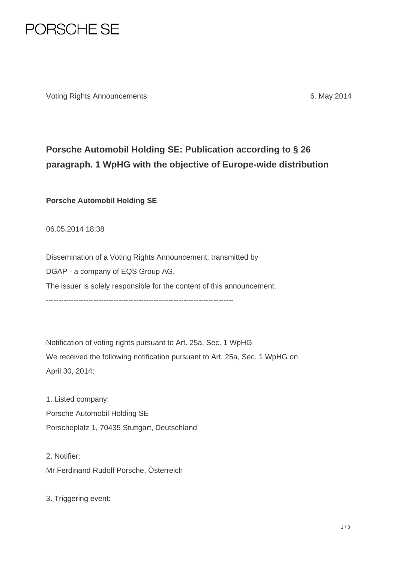

## **Porsche Automobil Holding SE: Publication according to § 26 paragraph. 1 WpHG with the objective of Europe-wide distribution**

**Porsche Automobil Holding SE** 

06.05.2014 18:38

Dissemination of a Voting Rights Announcement, transmitted by DGAP - a company of EQS Group AG. The issuer is solely responsible for the content of this announcement. ---------------------------------------------------------------------------

Notification of voting rights pursuant to Art. 25a, Sec. 1 WpHG We received the following notification pursuant to Art. 25a, Sec. 1 WpHG on April 30, 2014:

1. Listed company: Porsche Automobil Holding SE Porscheplatz 1, 70435 Stuttgart, Deutschland

2. Notifier: Mr Ferdinand Rudolf Porsche, Österreich

3. Triggering event: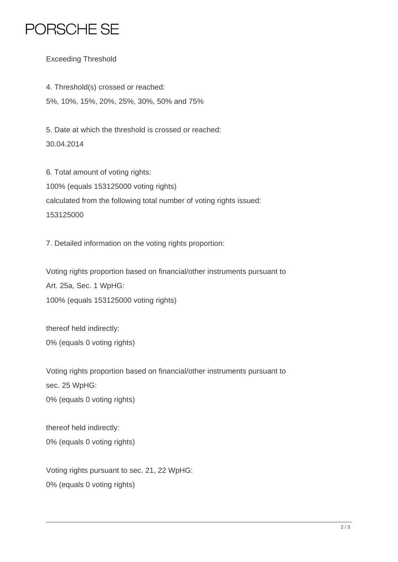## PORSCHE SE

Exceeding Threshold

4. Threshold(s) crossed or reached: 5%, 10%, 15%, 20%, 25%, 30%, 50% and 75%

5. Date at which the threshold is crossed or reached: 30.04.2014

6. Total amount of voting rights: 100% (equals 153125000 voting rights) calculated from the following total number of voting rights issued: 153125000

7. Detailed information on the voting rights proportion:

Voting rights proportion based on financial/other instruments pursuant to Art. 25a, Sec. 1 WpHG: 100% (equals 153125000 voting rights)

thereof held indirectly: 0% (equals 0 voting rights)

Voting rights proportion based on financial/other instruments pursuant to sec. 25 WpHG: 0% (equals 0 voting rights)

thereof held indirectly: 0% (equals 0 voting rights)

Voting rights pursuant to sec. 21, 22 WpHG: 0% (equals 0 voting rights)